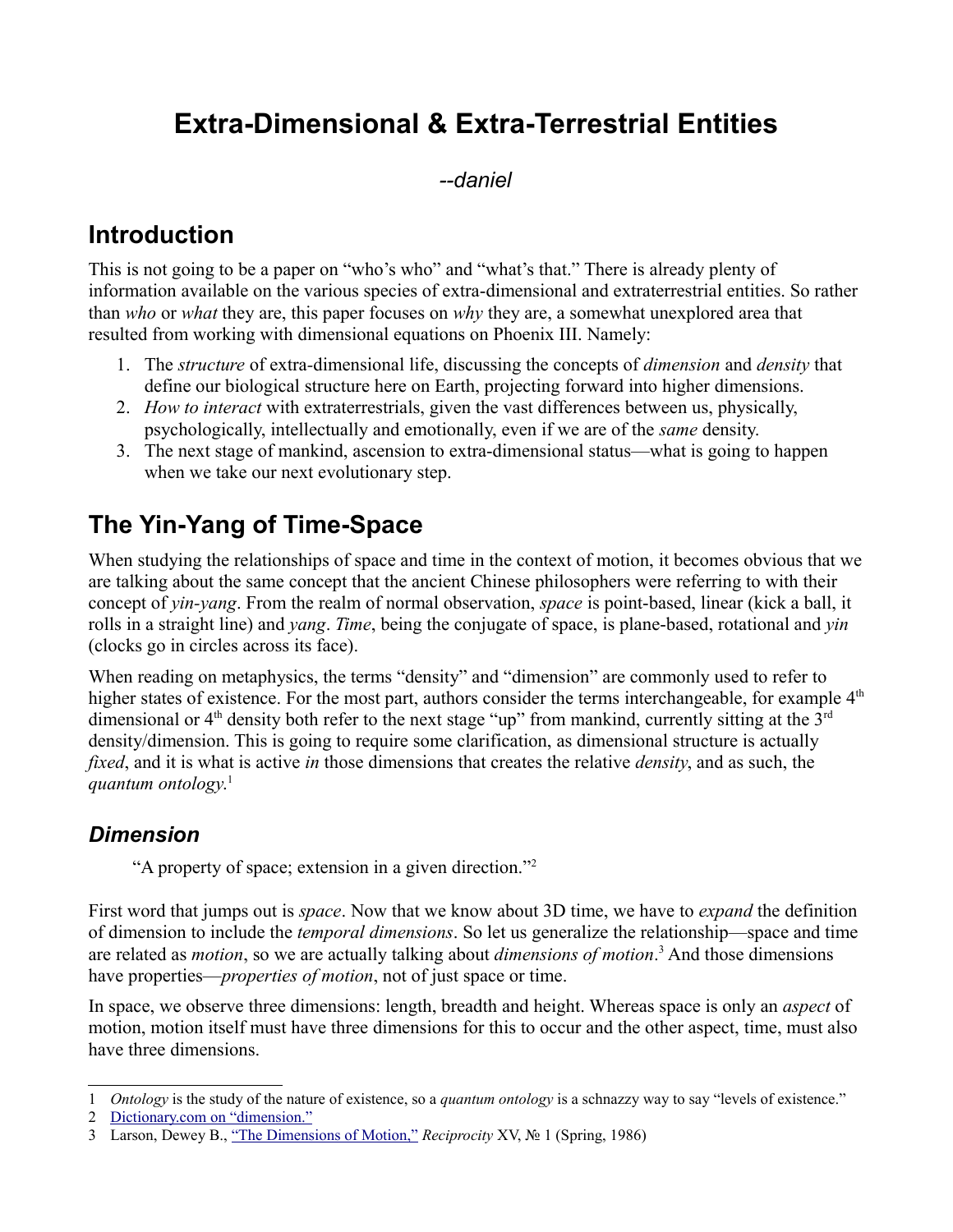# **Extra-Dimensional & Extra-Terrestrial Entities**

*--daniel*

# **Introduction**

This is not going to be a paper on "who's who" and "what's that." There is already plenty of information available on the various species of extra-dimensional and extraterrestrial entities. So rather than *who* or *what* they are, this paper focuses on *why* they are, a somewhat unexplored area that resulted from working with dimensional equations on Phoenix III. Namely:

- 1. The *structure* of extra*-*dimensional life, discussing the concepts of *dimension* and *density* that define our biological structure here on Earth, projecting forward into higher dimensions.
- 2. *How to interact* with extraterrestrials, given the vast differences between us, physically, psychologically, intellectually and emotionally, even if we are of the *same* density.
- 3. The next stage of mankind, ascension to extra-dimensional status—what is going to happen when we take our next evolutionary step.

# **The Yin-Yang of Time-Space**

When studying the relationships of space and time in the context of motion, it becomes obvious that we are talking about the same concept that the ancient Chinese philosophers were referring to with their concept of *yin-yang*. From the realm of normal observation, *space* is point-based, linear (kick a ball, it rolls in a straight line) and *yang*. *Time*, being the conjugate of space, is plane-based, rotational and *yin* (clocks go in circles across its face).

When reading on metaphysics, the terms "density" and "dimension" are commonly used to refer to higher states of existence. For the most part, authors consider the terms interchangeable, for example  $4<sup>th</sup>$ dimensional or 4<sup>th</sup> density both refer to the next stage "up" from mankind, currently sitting at the 3<sup>rd</sup> density/dimension. This is going to require some clarification, as dimensional structure is actually *fixed*, and it is what is active *in* those dimensions that creates the relative *density*, and as such, the *quantum ontology*. [1](#page-0-0)

## *Dimension*

"A property of space; extension in a given direction."[2](#page-0-1)

First word that jumps out is *space*. Now that we know about 3D time, we have to *expand* the definition of dimension to include the *temporal dimensions*. So let us generalize the relationship—space and time are related as *motion*, so we are actually talking about *dimensions of motion*. [3](#page-0-2) And those dimensions have properties—*properties of motion*, not of just space or time.

In space, we observe three dimensions: length, breadth and height. Whereas space is only an *aspect* of motion, motion itself must have three dimensions for this to occur and the other aspect, time, must also have three dimensions.

<span id="page-0-0"></span><sup>1</sup> *Ontology* is the study of the nature of existence, so a *quantum ontology* is a schnazzy way to say "levels of existence."

<span id="page-0-1"></span><sup>2</sup> [Dictionary.com on "dimension."](http://dictionary.reference.com/browse/dimension?s=t)

<span id="page-0-2"></span><sup>3</sup> Larson, Dewey B., ["The Dimensions of Motion,"](http://reciprocalsystem.org/PDFa/The%20Dimensions%20of%20Motion%20(Larson,%20Dewey%20B).pdf) *Reciprocity* XV, № 1 (Spring, 1986)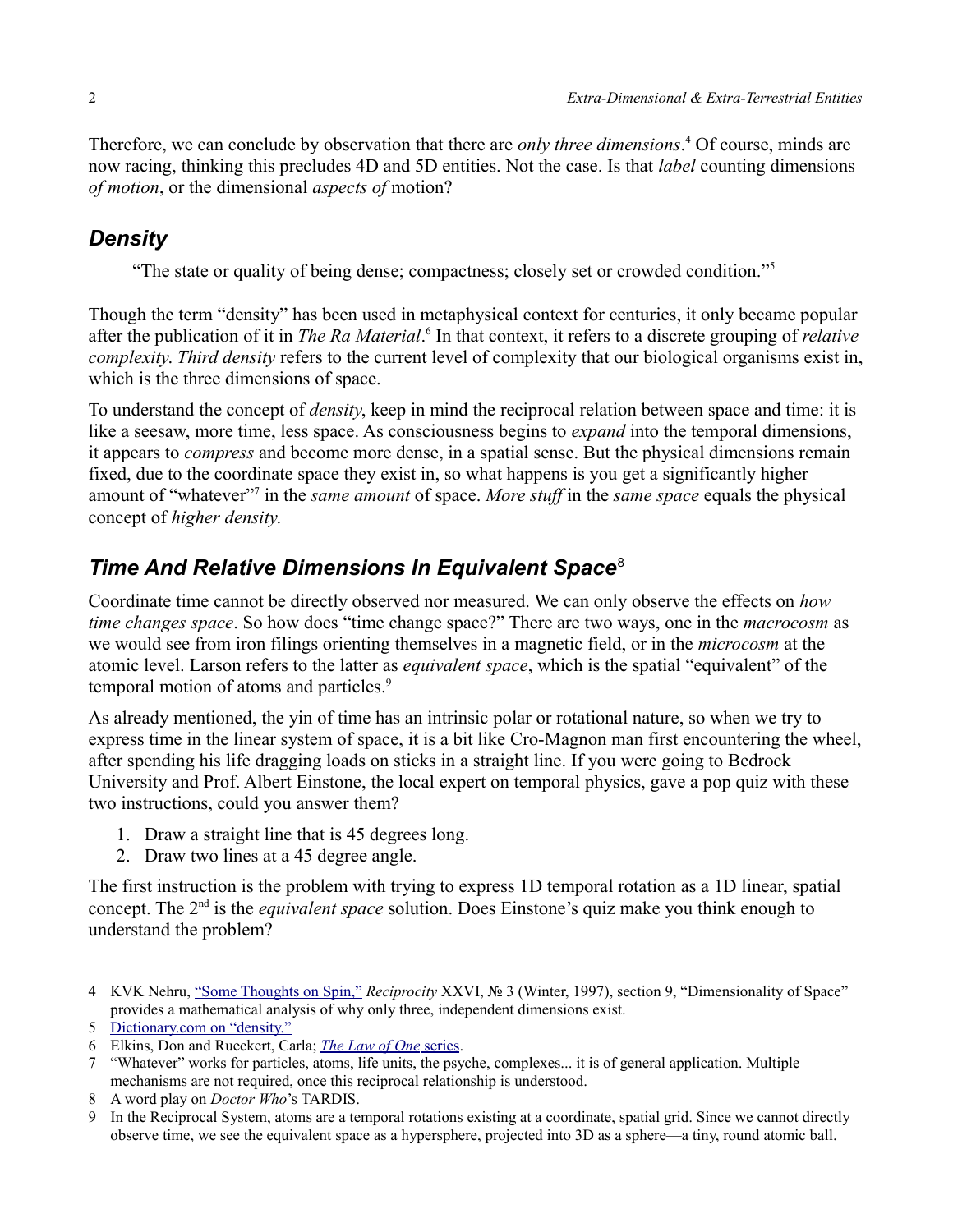Therefore, we can conclude by observation that there are *only three dimensions*. [4](#page-1-0) Of course, minds are now racing, thinking this precludes 4D and 5D entities. Not the case. Is that *label* counting dimensions *of motion*, or the dimensional *aspects of* motion?

## *Density*

"The state or quality of being dense; compactness; closely set or crowded condition."<sup>[5](#page-1-1)</sup>

Though the term "density" has been used in metaphysical context for centuries, it only became popular after the publication of it in *The Ra Material*.<sup>[6](#page-1-2)</sup> In that context, it refers to a discrete grouping of *relative complexity*. *Third density* refers to the current level of complexity that our biological organisms exist in, which is the three dimensions of space.

To understand the concept of *density*, keep in mind the reciprocal relation between space and time: it is like a seesaw, more time, less space. As consciousness begins to *expand* into the temporal dimensions, it appears to *compress* and become more dense, in a spatial sense. But the physical dimensions remain fixed, due to the coordinate space they exist in, so what happens is you get a significantly higher amount of "whatever"<sup>[7](#page-1-3)</sup> in the *same amount* of space. *More stuff* in the *same space* equals the physical concept of *higher density*.

## *Time And Relative Dimensions In Equivalent Space*[8](#page-1-4)

Coordinate time cannot be directly observed nor measured. We can only observe the effects on *how time changes space*. So how does "time change space?" There are two ways, one in the *macrocosm* as we would see from iron filings orienting themselves in a magnetic field, or in the *microcosm* at the atomic level. Larson refers to the latter as *equivalent space*, which is the spatial "equivalent" of the temporal motion of atoms and particles.<sup>[9](#page-1-5)</sup>

As already mentioned, the yin of time has an intrinsic polar or rotational nature, so when we try to express time in the linear system of space, it is a bit like Cro-Magnon man first encountering the wheel, after spending his life dragging loads on sticks in a straight line. If you were going to Bedrock University and Prof. Albert Einstone, the local expert on temporal physics, gave a pop quiz with these two instructions, could you answer them?

- 1. Draw a straight line that is 45 degrees long.
- 2. Draw two lines at a 45 degree angle.

The first instruction is the problem with trying to express 1D temporal rotation as a 1D linear, spatial concept. The 2<sup>nd</sup> is the *equivalent space* solution. Does Einstone's quiz make you think enough to understand the problem?

<span id="page-1-0"></span><sup>4</sup> KVK Nehru, ["Some Thoughts on Spin,"](http://reciprocalsystem.org/PDFa/Some%20Thoughts%20on%20Spin%20(KVK,%20Nehru).pdf) *Reciprocity* XXVI, № 3 (Winter, 1997), section 9, "Dimensionality of Space" provides a mathematical analysis of why only three, independent dimensions exist.

<span id="page-1-1"></span><sup>5</sup> [Dictionary.com on "density."](http://dictionary.reference.com/browse/density?s=t)

<span id="page-1-2"></span><sup>6</sup> Elkins, Don and Rueckert, Carla; *[The Law of One](http://www.llresearch.org/)* [series.](http://www.llresearch.org/)

<span id="page-1-3"></span><sup>7</sup> "Whatever" works for particles, atoms, life units, the psyche, complexes... it is of general application. Multiple mechanisms are not required, once this reciprocal relationship is understood.

<span id="page-1-4"></span><sup>8</sup> A word play on *Doctor Who*'s TARDIS.

<span id="page-1-5"></span><sup>9</sup> In the Reciprocal System, atoms are a temporal rotations existing at a coordinate, spatial grid. Since we cannot directly observe time, we see the equivalent space as a hypersphere, projected into 3D as a sphere—a tiny, round atomic ball.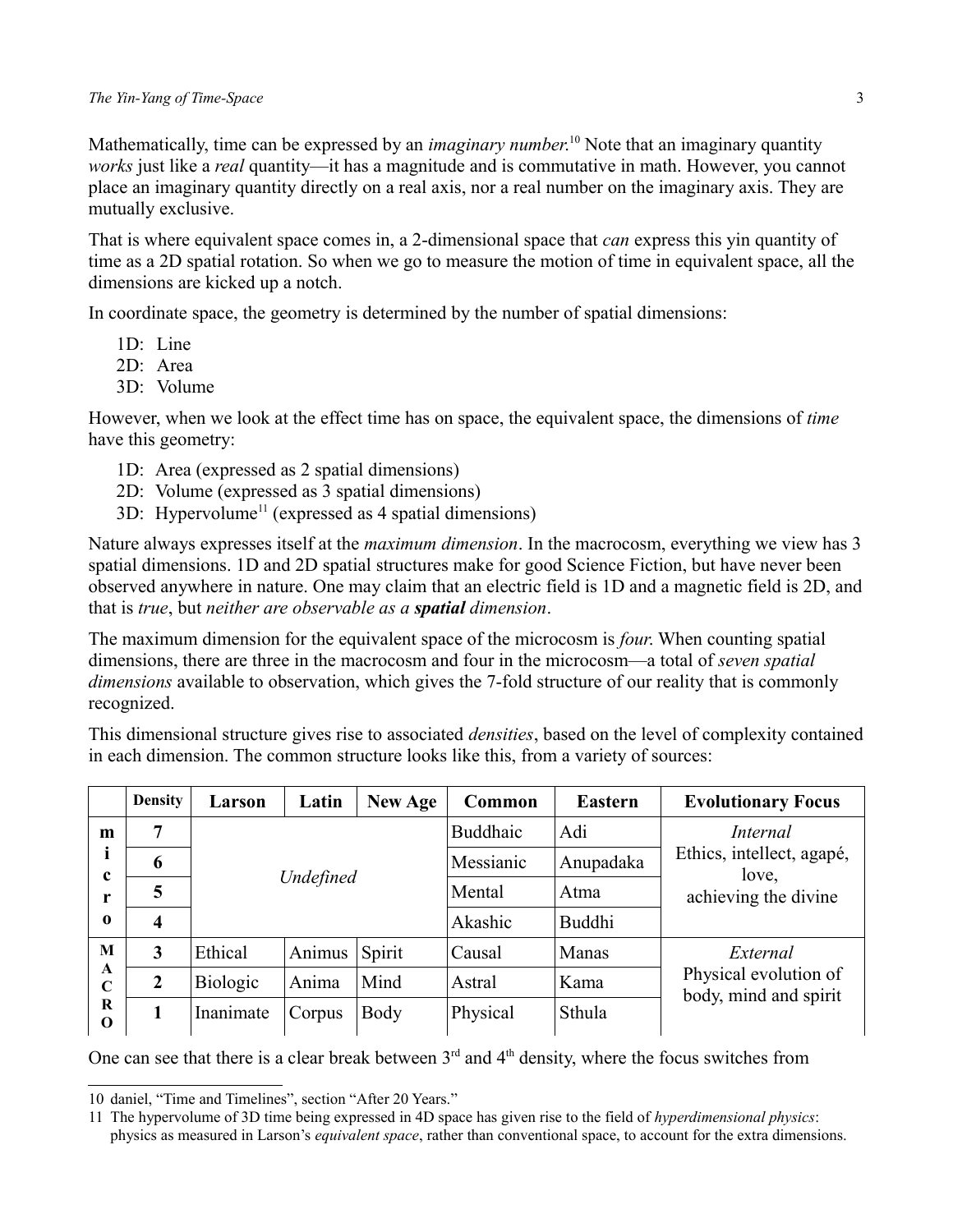Mathematically, time can be expressed by an *imaginary number*. [10](#page-2-0) Note that an imaginary quantity *works* just like a *real* quantity—it has a magnitude and is commutative in math. However, you cannot place an imaginary quantity directly on a real axis, nor a real number on the imaginary axis. They are mutually exclusive.

That is where equivalent space comes in, a 2-dimensional space that *can* express this yin quantity of time as a 2D spatial rotation. So when we go to measure the motion of time in equivalent space, all the dimensions are kicked up a notch.

In coordinate space, the geometry is determined by the number of spatial dimensions:

- 1D: Line
- 2D: Area
- 3D: Volume

However, when we look at the effect time has on space, the equivalent space, the dimensions of *time* have this geometry:

- 1D: Area (expressed as 2 spatial dimensions)
- 2D: Volume (expressed as 3 spatial dimensions)
- $3D$ : Hypervolume<sup>[11](#page-2-1)</sup> (expressed as 4 spatial dimensions)

Nature always expresses itself at the *maximum dimension*. In the macrocosm, everything we view has 3 spatial dimensions. 1D and 2D spatial structures make for good Science Fiction, but have never been observed anywhere in nature. One may claim that an electric field is 1D and a magnetic field is 2D, and that is *true*, but *neither are observable as a spatial dimension*.

The maximum dimension for the equivalent space of the microcosm is *four*. When counting spatial dimensions, there are three in the macrocosm and four in the microcosm—a total of *seven spatial dimensions* available to observation, which gives the 7-fold structure of our reality that is commonly recognized.

This dimensional structure gives rise to associated *densities*, based on the level of complexity contained in each dimension. The common structure looks like this, from a variety of sources:

|                              | <b>Density</b>          | Larson          | Latin     | New Age | Common          | <b>Eastern</b> | <b>Evolutionary Focus</b>                                  |
|------------------------------|-------------------------|-----------------|-----------|---------|-----------------|----------------|------------------------------------------------------------|
| m                            | 7                       |                 |           |         | <b>Buddhaic</b> | Adi            | <i>Internal</i>                                            |
|                              | 6                       |                 |           |         | Messianic       | Anupadaka      | Ethics, intellect, agapé,<br>love,<br>achieving the divine |
| c<br>r                       | 5                       |                 | Undefined |         | Mental          | Atma           |                                                            |
| $\mathbf 0$                  | $\overline{\mathbf{4}}$ |                 |           |         | Akashic         | <b>Buddhi</b>  |                                                            |
| M<br>A<br>C<br>R<br>$\bf{0}$ | 3                       | Ethical         | Animus    | Spirit  | Causal          | Manas          | External<br>Physical evolution of<br>body, mind and spirit |
|                              | $\boldsymbol{2}$        | <b>Biologic</b> | Anima     | Mind    | Astral          | Kama           |                                                            |
|                              | 1                       | Inanimate       | Corpus    | Body    | Physical        | Sthula         |                                                            |

One can see that there is a clear break between  $3<sup>rd</sup>$  and  $4<sup>th</sup>$  density, where the focus switches from

<span id="page-2-0"></span><sup>10</sup> daniel, "Time and Timelines", section "After 20 Years."

<span id="page-2-1"></span><sup>11</sup> The hypervolume of 3D time being expressed in 4D space has given rise to the field of *hyperdimensional physics*: physics as measured in Larson's *equivalent space*, rather than conventional space, to account for the extra dimensions.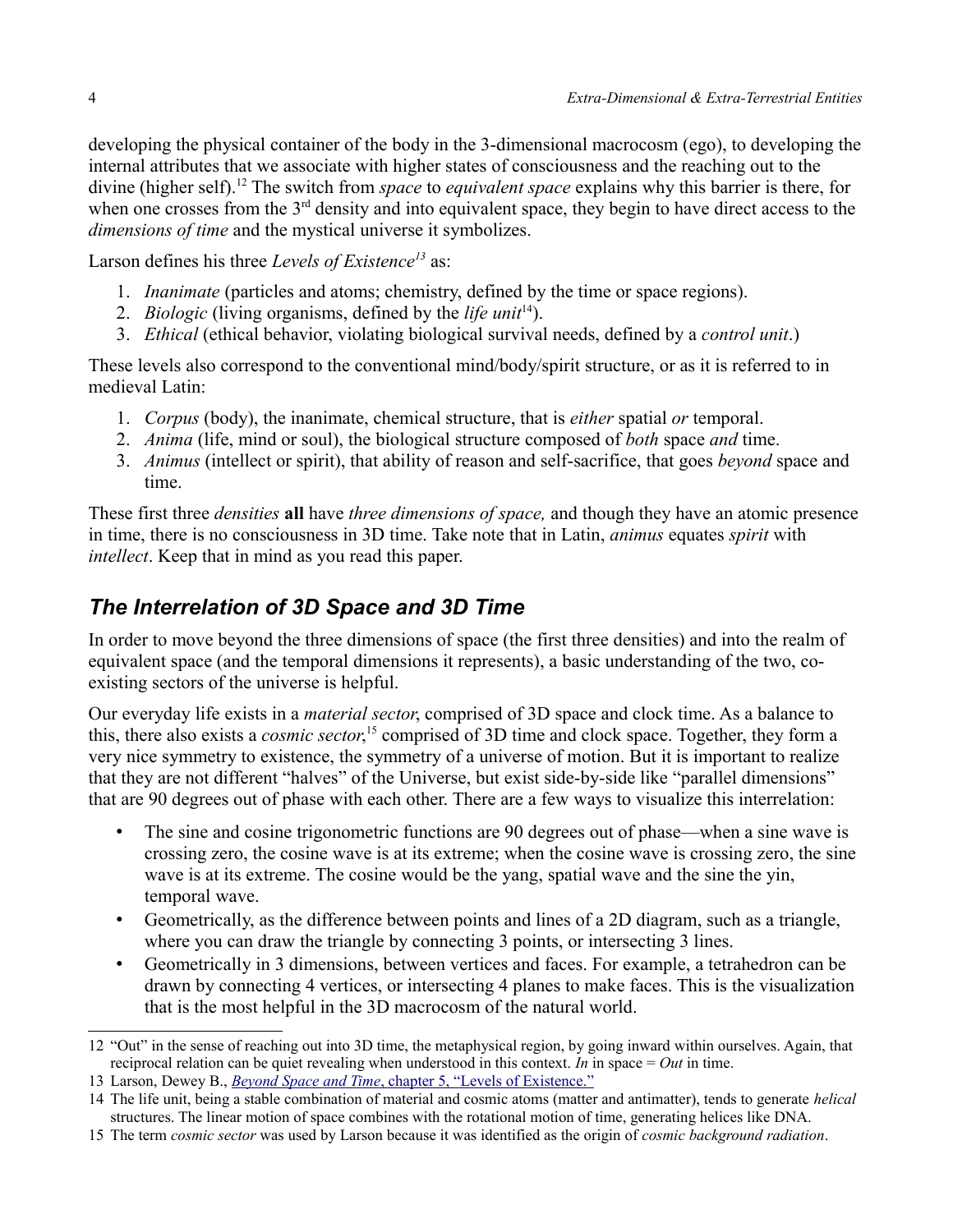developing the physical container of the body in the 3-dimensional macrocosm (ego), to developing the internal attributes that we associate with higher states of consciousness and the reaching out to the divine (higher self).[12](#page-3-0) The switch from *space* to *equivalent space* explains why this barrier is there, for when one crosses from the  $3<sup>rd</sup>$  density and into equivalent space, they begin to have direct access to the *dimensions of time* and the mystical universe it symbolizes.

Larson defines his three *Levels of Existence[13](#page-3-1)* as:

- 1. *Inanimate* (particles and atoms; chemistry, defined by the time or space regions).
- 2. *Biologic* (living organisms, defined by the *life unit*[14](#page-3-2)).
- 3. *Ethical* (ethical behavior, violating biological survival needs, defined by a *control unit*.)

These levels also correspond to the conventional mind/body/spirit structure, or as it is referred to in medieval Latin:

- 1. *Corpus* (body), the inanimate, chemical structure, that is *either* spatial *or* temporal.
- 2. *Anima* (life, mind or soul), the biological structure composed of *both* space *and* time.
- 3. *Animus* (intellect or spirit), that ability of reason and self-sacrifice, that goes *beyond* space and time.

These first three *densities* **all** have *three dimensions of space,* and though they have an atomic presence in time, there is no consciousness in 3D time. Take note that in Latin, *animus* equates *spirit* with *intellect*. Keep that in mind as you read this paper.

## *The Interrelation of 3D Space and 3D Time*

In order to move beyond the three dimensions of space (the first three densities) and into the realm of equivalent space (and the temporal dimensions it represents), a basic understanding of the two, coexisting sectors of the universe is helpful.

Our everyday life exists in a *material sector*, comprised of 3D space and clock time. As a balance to this, there also exists a *cosmic sector*, [15](#page-3-3) comprised of 3D time and clock space. Together, they form a very nice symmetry to existence, the symmetry of a universe of motion. But it is important to realize that they are not different "halves" of the Universe, but exist side-by-side like "parallel dimensions" that are 90 degrees out of phase with each other. There are a few ways to visualize this interrelation:

- The sine and cosine trigonometric functions are 90 degrees out of phase—when a sine wave is crossing zero, the cosine wave is at its extreme; when the cosine wave is crossing zero, the sine wave is at its extreme. The cosine would be the yang, spatial wave and the sine the yin, temporal wave.
- Geometrically, as the difference between points and lines of a 2D diagram, such as a triangle, where you can draw the triangle by connecting 3 points, or intersecting 3 lines.
- Geometrically in 3 dimensions, between vertices and faces. For example, a tetrahedron can be drawn by connecting 4 vertices, or intersecting 4 planes to make faces. This is the visualization that is the most helpful in the 3D macrocosm of the natural world.

<span id="page-3-0"></span><sup>12</sup> "Out" in the sense of reaching out into 3D time, the metaphysical region, by going inward within ourselves. Again, that reciprocal relation can be quiet revealing when understood in this context. *In* in space = *Out* in time.

<span id="page-3-1"></span><sup>13</sup> Larson, Dewey B., *Beyond Space and Time*[, chapter 5, "Levels of Existence."](http://library.rstheory.org/books/bst/05.html)

<span id="page-3-2"></span><sup>14</sup> The life unit, being a stable combination of material and cosmic atoms (matter and antimatter), tends to generate *helical* structures. The linear motion of space combines with the rotational motion of time, generating helices like DNA.

<span id="page-3-3"></span><sup>15</sup> The term *cosmic sector* was used by Larson because it was identified as the origin of *cosmic background radiation*.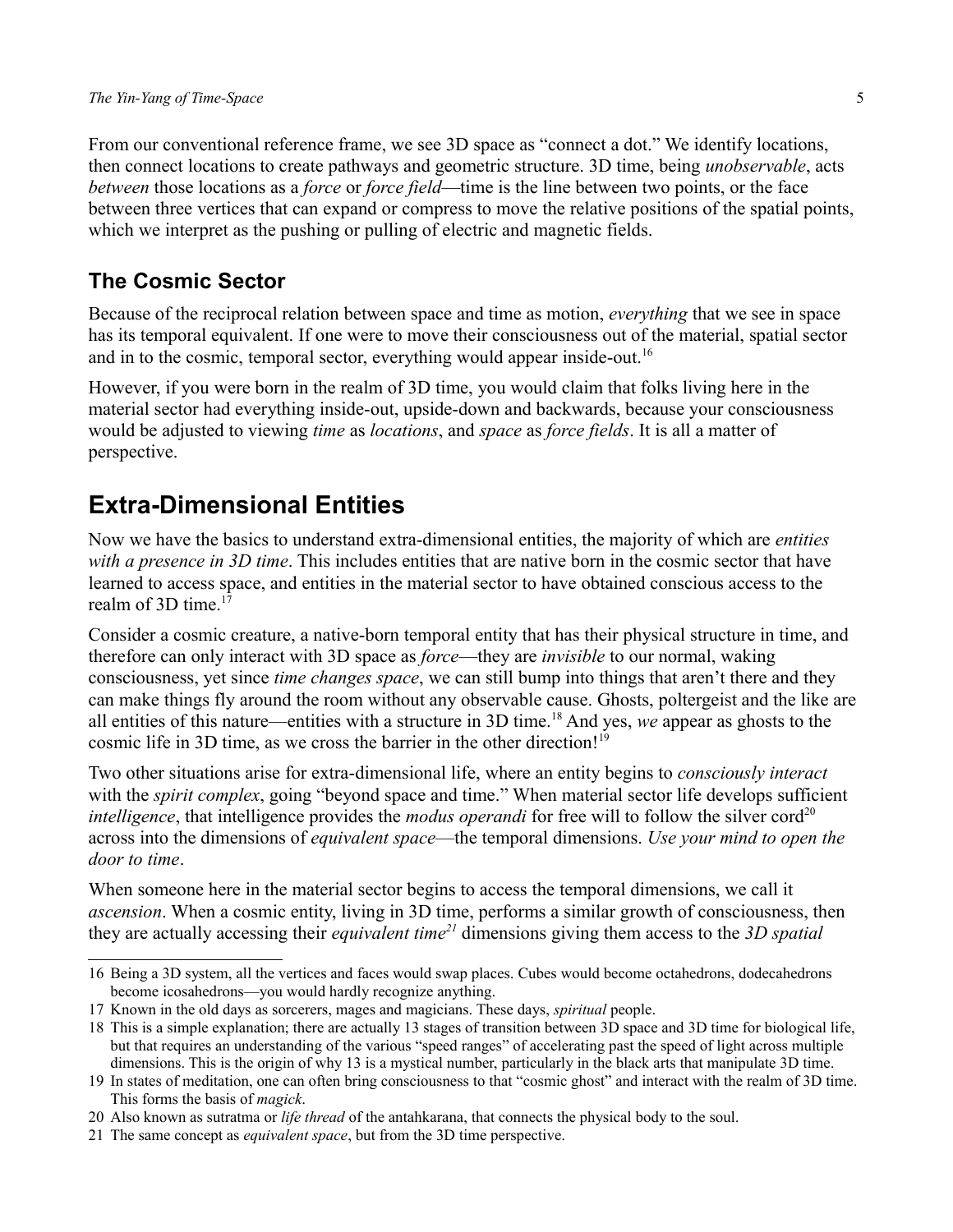From our conventional reference frame, we see 3D space as "connect a dot." We identify locations, then connect locations to create pathways and geometric structure. 3D time, being *unobservable*, acts *between* those locations as a *force* or *force field*—time is the line between two points, or the face between three vertices that can expand or compress to move the relative positions of the spatial points, which we interpret as the pushing or pulling of electric and magnetic fields.

## **The Cosmic Sector**

Because of the reciprocal relation between space and time as motion, *everything* that we see in space has its temporal equivalent. If one were to move their consciousness out of the material, spatial sector and in to the cosmic, temporal sector, everything would appear inside-out.<sup>[16](#page-4-0)</sup>

However, if you were born in the realm of 3D time, you would claim that folks living here in the material sector had everything inside-out, upside-down and backwards, because your consciousness would be adjusted to viewing *time* as *locations*, and *space* as *force fields*. It is all a matter of perspective.

## **Extra-Dimensional Entities**

Now we have the basics to understand extra-dimensional entities, the majority of which are *entities with a presence in 3D time*. This includes entities that are native born in the cosmic sector that have learned to access space, and entities in the material sector to have obtained conscious access to the realm of  $3D$  time.<sup>[17](#page-4-1)</sup>

Consider a cosmic creature, a native-born temporal entity that has their physical structure in time, and therefore can only interact with 3D space as *force*—they are *invisible* to our normal, waking consciousness, yet since *time changes space*, we can still bump into things that aren't there and they can make things fly around the room without any observable cause. Ghosts, poltergeist and the like are all entities of this nature—entities with a structure in 3D time.[18](#page-4-2) And yes, *we* appear as ghosts to the cosmic life in 3D time, as we cross the barrier in the other direction!<sup>[19](#page-4-3)</sup>

Two other situations arise for extra-dimensional life, where an entity begins to *consciously interact* with the *spirit complex*, going "beyond space and time." When material sector life develops sufficient *intelligence*, that intelligence provides the *modus operandi* for free will to follow the silver cord<sup>[20](#page-4-4)</sup> across into the dimensions of *equivalent space*—the temporal dimensions. *Use your mind to open the door to time*.

When someone here in the material sector begins to access the temporal dimensions, we call it *ascension*. When a cosmic entity, living in 3D time, performs a similar growth of consciousness, then they are actually accessing their *equivalent time[21](#page-4-5)* dimensions giving them access to the *3D spatial* 

<span id="page-4-0"></span><sup>16</sup> Being a 3D system, all the vertices and faces would swap places. Cubes would become octahedrons, dodecahedrons become icosahedrons—you would hardly recognize anything.

<span id="page-4-1"></span><sup>17</sup> Known in the old days as sorcerers, mages and magicians. These days, *spiritual* people.

<span id="page-4-2"></span><sup>18</sup> This is a simple explanation; there are actually 13 stages of transition between 3D space and 3D time for biological life, but that requires an understanding of the various "speed ranges" of accelerating past the speed of light across multiple dimensions. This is the origin of why 13 is a mystical number, particularly in the black arts that manipulate 3D time.

<span id="page-4-3"></span><sup>19</sup> In states of meditation, one can often bring consciousness to that "cosmic ghost" and interact with the realm of 3D time. This forms the basis of *magick*.

<span id="page-4-4"></span><sup>20</sup> Also known as sutratma or *life thread* of the antahkarana, that connects the physical body to the soul.

<span id="page-4-5"></span><sup>21</sup> The same concept as *equivalent space*, but from the 3D time perspective.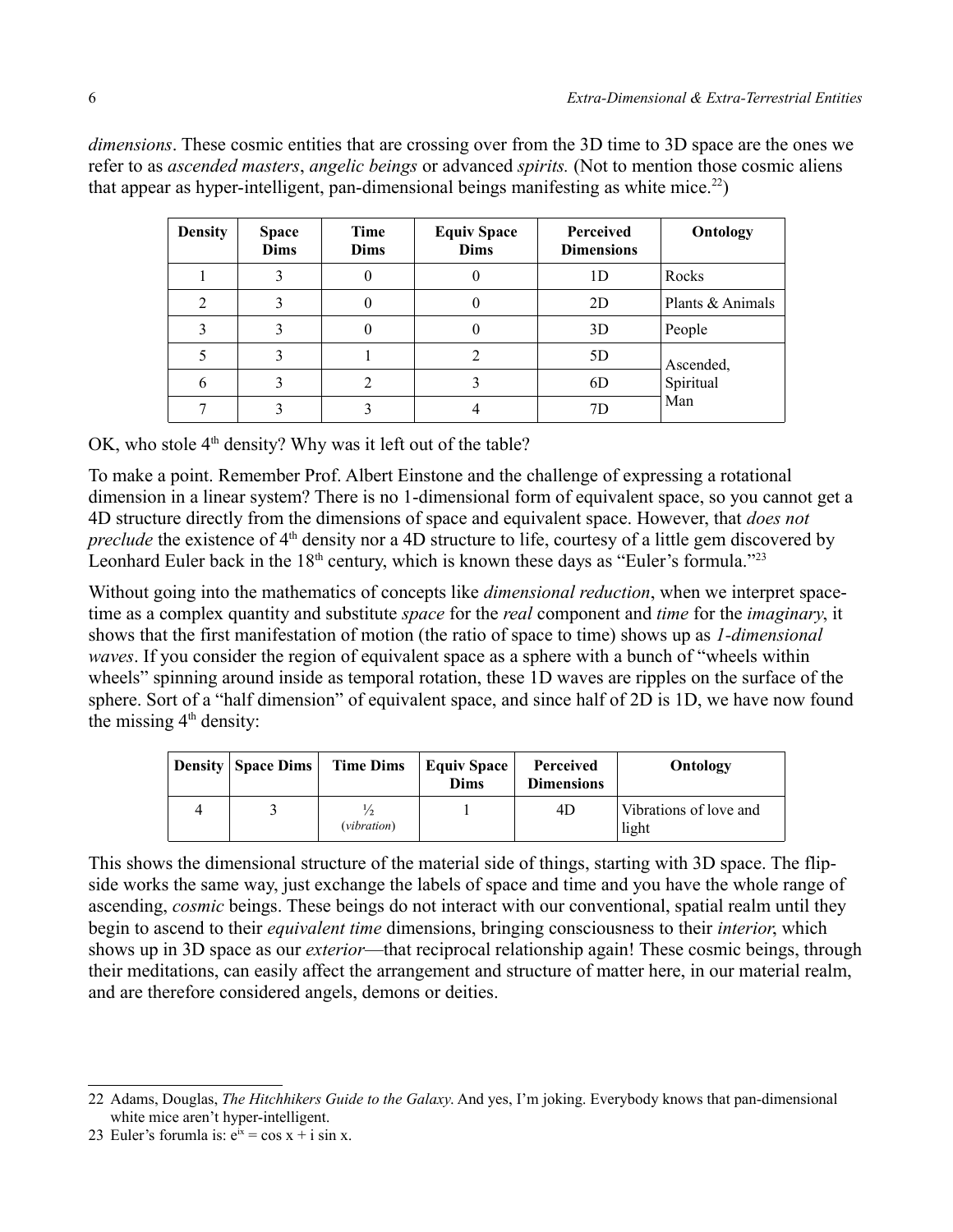*dimensions*. These cosmic entities that are crossing over from the 3D time to 3D space are the ones we refer to as *ascended masters*, *angelic beings* or advanced *spirits.* (Not to mention those cosmic aliens that appear as hyper-intelligent, pan-dimensional beings manifesting as white mice.<sup>[22](#page-5-0)</sup>)

| <b>Density</b> | <b>Space</b><br><b>Dims</b> | Time<br><b>Dims</b> | <b>Equiv Space</b><br><b>Dims</b> | Perceived<br><b>Dimensions</b> | Ontology         |  |
|----------------|-----------------------------|---------------------|-----------------------------------|--------------------------------|------------------|--|
|                |                             | 0                   |                                   | 1D                             | Rocks            |  |
| 2              |                             |                     |                                   | 2D                             | Plants & Animals |  |
| 3              |                             | 0                   |                                   | 3D                             | People           |  |
| 5              |                             |                     |                                   | 5D                             | Ascended,        |  |
| 6              |                             | 2                   |                                   | 6D                             | Spiritual        |  |
|                |                             |                     |                                   | 7D                             | Man              |  |

OK, who stole  $4<sup>th</sup>$  density? Why was it left out of the table?

To make a point. Remember Prof. Albert Einstone and the challenge of expressing a rotational dimension in a linear system? There is no 1-dimensional form of equivalent space, so you cannot get a 4D structure directly from the dimensions of space and equivalent space. However, that *does not preclude* the existence of 4<sup>th</sup> density nor a 4D structure to life, courtesy of a little gem discovered by Leonhard Euler back in the  $18<sup>th</sup>$  century, which is known these days as "Euler's formula."<sup>[23](#page-5-1)</sup>

Without going into the mathematics of concepts like *dimensional reduction*, when we interpret spacetime as a complex quantity and substitute *space* for the *real* component and *time* for the *imaginary*, it shows that the first manifestation of motion (the ratio of space to time) shows up as *1-dimensional waves*. If you consider the region of equivalent space as a sphere with a bunch of "wheels within wheels" spinning around inside as temporal rotation, these 1D waves are ripples on the surface of the sphere. Sort of a "half dimension" of equivalent space, and since half of 2D is 1D, we have now found the missing  $4<sup>th</sup>$  density:

|   | <b>Density   Space Dims</b> | <b>Time Dims</b> | Equiv Space<br><b>Dims</b> | Perceived<br><b>Dimensions</b> | Ontology                        |
|---|-----------------------------|------------------|----------------------------|--------------------------------|---------------------------------|
| 4 |                             | (vibration)      |                            | 4D                             | Vibrations of love and<br>light |

This shows the dimensional structure of the material side of things, starting with 3D space. The flipside works the same way, just exchange the labels of space and time and you have the whole range of ascending, *cosmic* beings. These beings do not interact with our conventional, spatial realm until they begin to ascend to their *equivalent time* dimensions, bringing consciousness to their *interior*, which shows up in 3D space as our *exterior*—that reciprocal relationship again! These cosmic beings, through their meditations, can easily affect the arrangement and structure of matter here, in our material realm, and are therefore considered angels, demons or deities.

<span id="page-5-0"></span><sup>22</sup> Adams, Douglas, *The Hitchhikers Guide to the Galaxy*. And yes, I'm joking. Everybody knows that pan-dimensional white mice aren't hyper-intelligent.

<span id="page-5-1"></span><sup>23</sup> Euler's forumla is:  $e^{ix} = \cos x + i \sin x$ .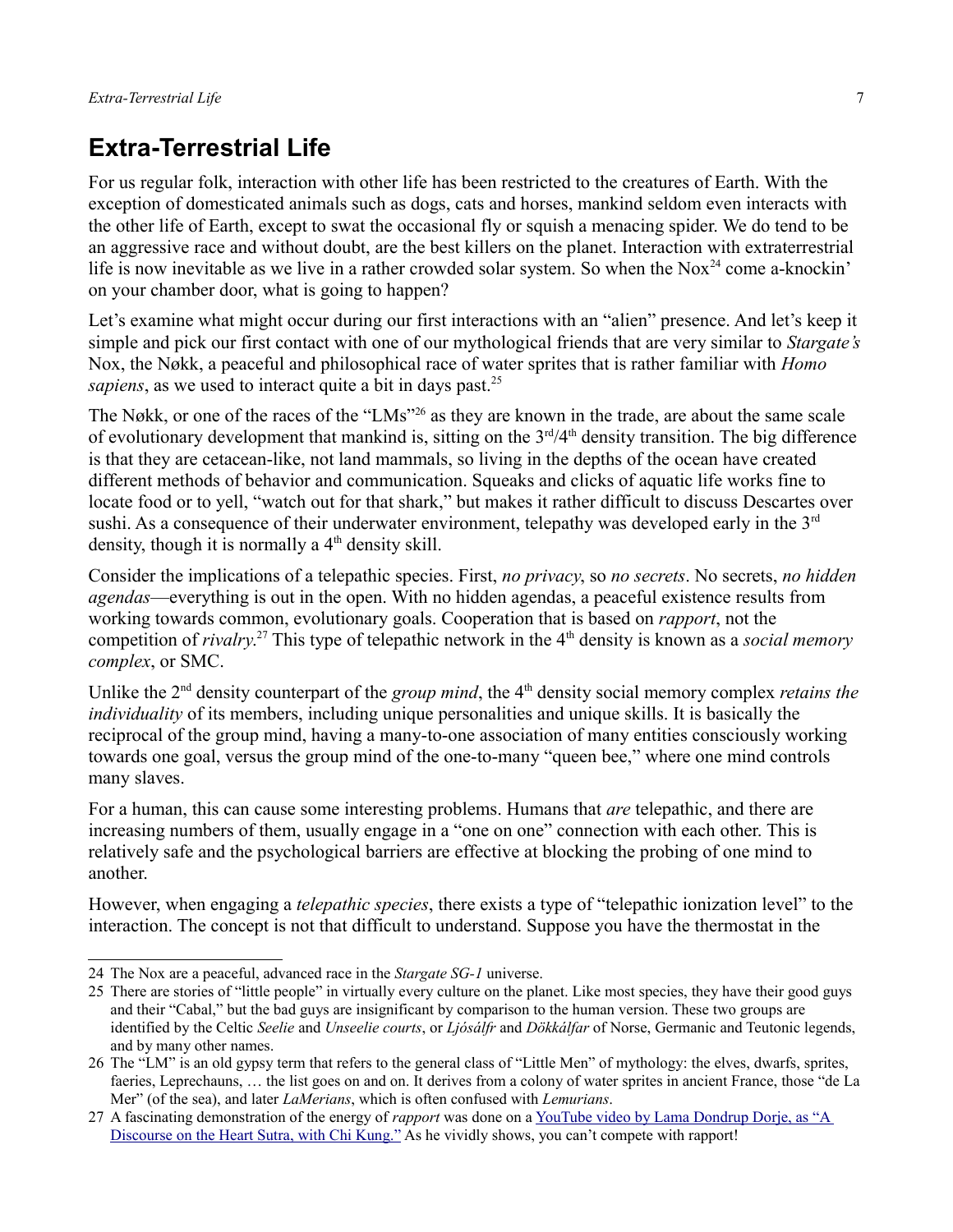# **Extra-Terrestrial Life**

For us regular folk, interaction with other life has been restricted to the creatures of Earth. With the exception of domesticated animals such as dogs, cats and horses, mankind seldom even interacts with the other life of Earth, except to swat the occasional fly or squish a menacing spider. We do tend to be an aggressive race and without doubt, are the best killers on the planet. Interaction with extraterrestrial life is now inevitable as we live in a rather crowded solar system. So when the Nox<sup>[24](#page-6-0)</sup> come a-knockin' on your chamber door, what is going to happen?

Let's examine what might occur during our first interactions with an "alien" presence. And let's keep it simple and pick our first contact with one of our mythological friends that are very similar to *Stargate's* Nox, the Nøkk, a peaceful and philosophical race of water sprites that is rather familiar with *Homo sapiens*, as we used to interact quite a bit in days past.<sup>[25](#page-6-1)</sup>

The Nøkk, or one of the races of the "LMs"<sup>[26](#page-6-2)</sup> as they are known in the trade, are about the same scale of evolutionary development that mankind is, sitting on the  $3<sup>rd</sup>/4<sup>th</sup>$  density transition. The big difference is that they are cetacean-like, not land mammals, so living in the depths of the ocean have created different methods of behavior and communication. Squeaks and clicks of aquatic life works fine to locate food or to yell, "watch out for that shark," but makes it rather difficult to discuss Descartes over sushi. As a consequence of their underwater environment, telepathy was developed early in the 3<sup>rd</sup> density, though it is normally a  $4<sup>th</sup>$  density skill.

Consider the implications of a telepathic species. First, *no privacy*, so *no secrets*. No secrets, *no hidden agendas*—everything is out in the open. With no hidden agendas, a peaceful existence results from working towards common, evolutionary goals. Cooperation that is based on *rapport*, not the competition of *rivalry*.<sup>[27](#page-6-3)</sup> This type of telepathic network in the 4<sup>th</sup> density is known as a *social memory complex*, or SMC.

Unlike the 2<sup>nd</sup> density counterpart of the *group mind*, the 4<sup>th</sup> density social memory complex *retains the individuality* of its members, including unique personalities and unique skills. It is basically the reciprocal of the group mind, having a many-to-one association of many entities consciously working towards one goal, versus the group mind of the one-to-many "queen bee," where one mind controls many slaves.

For a human, this can cause some interesting problems. Humans that *are* telepathic, and there are increasing numbers of them, usually engage in a "one on one" connection with each other. This is relatively safe and the psychological barriers are effective at blocking the probing of one mind to another.

However, when engaging a *telepathic species*, there exists a type of "telepathic ionization level" to the interaction. The concept is not that difficult to understand. Suppose you have the thermostat in the

<span id="page-6-0"></span><sup>24</sup> The Nox are a peaceful, advanced race in the *Stargate SG-1* universe.

<span id="page-6-1"></span><sup>25</sup> There are stories of "little people" in virtually every culture on the planet. Like most species, they have their good guys and their "Cabal," but the bad guys are insignificant by comparison to the human version. These two groups are identified by the Celtic *Seelie* and *Unseelie courts*, or *Ljósálfr* and *Dökkálfar* of Norse, Germanic and Teutonic legends, and by many other names.

<span id="page-6-2"></span><sup>26</sup> The "LM" is an old gypsy term that refers to the general class of "Little Men" of mythology: the elves, dwarfs, sprites, faeries, Leprechauns, … the list goes on and on. It derives from a colony of water sprites in ancient France, those "de La Mer" (of the sea), and later *LaMerians*, which is often confused with *Lemurians*.

<span id="page-6-3"></span><sup>27</sup> A fascinating demonstration of the energy of *rapport* was done on a [YouTube video by Lama Dondrup Dorje, as "A](http://www.youtube.com/watch?v=26pJkYhHGek)  [Discourse on the Heart Sutra, with Chi Kung."](http://www.youtube.com/watch?v=26pJkYhHGek) As he vividly shows, you can't compete with rapport!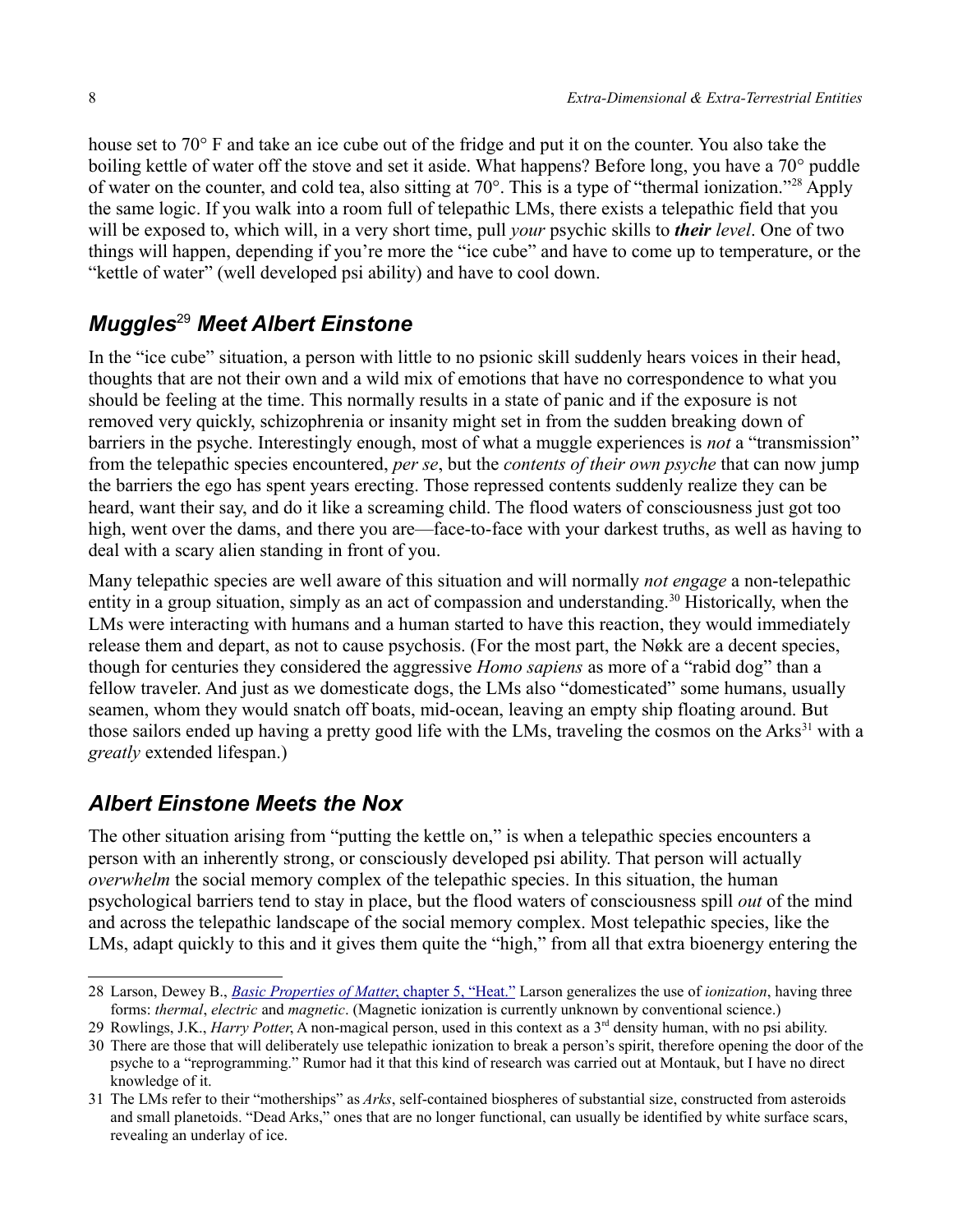house set to 70° F and take an ice cube out of the fridge and put it on the counter. You also take the boiling kettle of water off the stove and set it aside. What happens? Before long, you have a 70° puddle of water on the counter, and cold tea, also sitting at 70°. This is a type of "thermal ionization."[28](#page-7-0) Apply the same logic. If you walk into a room full of telepathic LMs, there exists a telepathic field that you will be exposed to, which will, in a very short time, pull *your* psychic skills to *their level*. One of two things will happen, depending if you're more the "ice cube" and have to come up to temperature, or the "kettle of water" (well developed psi ability) and have to cool down.

## *Muggles*[29](#page-7-1) *Meet Albert Einstone*

In the "ice cube" situation, a person with little to no psionic skill suddenly hears voices in their head, thoughts that are not their own and a wild mix of emotions that have no correspondence to what you should be feeling at the time. This normally results in a state of panic and if the exposure is not removed very quickly, schizophrenia or insanity might set in from the sudden breaking down of barriers in the psyche. Interestingly enough, most of what a muggle experiences is *not* a "transmission" from the telepathic species encountered, *per se*, but the *contents of their own psyche* that can now jump the barriers the ego has spent years erecting. Those repressed contents suddenly realize they can be heard, want their say, and do it like a screaming child. The flood waters of consciousness just got too high, went over the dams, and there you are—face-to-face with your darkest truths, as well as having to deal with a scary alien standing in front of you.

Many telepathic species are well aware of this situation and will normally *not engage* a non-telepathic entity in a group situation, simply as an act of compassion and understanding.<sup>[30](#page-7-2)</sup> Historically, when the LMs were interacting with humans and a human started to have this reaction, they would immediately release them and depart, as not to cause psychosis. (For the most part, the Nøkk are a decent species, though for centuries they considered the aggressive *Homo sapiens* as more of a "rabid dog" than a fellow traveler. And just as we domesticate dogs, the LMs also "domesticated" some humans, usually seamen, whom they would snatch off boats, mid-ocean, leaving an empty ship floating around. But those sailors ended up having a pretty good life with the LMs, traveling the cosmos on the Arks<sup>[31](#page-7-3)</sup> with a *greatly* extended lifespan.)

## *Albert Einstone Meets the Nox*

The other situation arising from "putting the kettle on," is when a telepathic species encounters a person with an inherently strong, or consciously developed psi ability. That person will actually *overwhelm* the social memory complex of the telepathic species. In this situation, the human psychological barriers tend to stay in place, but the flood waters of consciousness spill *out* of the mind and across the telepathic landscape of the social memory complex. Most telepathic species, like the LMs, adapt quickly to this and it gives them quite the "high," from all that extra bioenergy entering the

<span id="page-7-0"></span><sup>28</sup> Larson, Dewey B., *[Basic Properties of Matter](http://library.rstheory.org/books/bpom/05.html)* [, chapter 5, "Heat."](http://library.rstheory.org/books/bpom/05.html) Larson generalizes the use of *ionization*, having three forms: *thermal*, *electric* and *magnetic*. (Magnetic ionization is currently unknown by conventional science.)

<span id="page-7-1"></span><sup>29</sup> Rowlings, J.K., *Harry Potter*, A non-magical person, used in this context as a 3<sup>rd</sup> density human, with no psi ability.

<span id="page-7-2"></span><sup>30</sup> There are those that will deliberately use telepathic ionization to break a person's spirit, therefore opening the door of the psyche to a "reprogramming." Rumor had it that this kind of research was carried out at Montauk, but I have no direct knowledge of it.

<span id="page-7-3"></span><sup>31</sup> The LMs refer to their "motherships" as *Arks*, self-contained biospheres of substantial size, constructed from asteroids and small planetoids. "Dead Arks," ones that are no longer functional, can usually be identified by white surface scars, revealing an underlay of ice.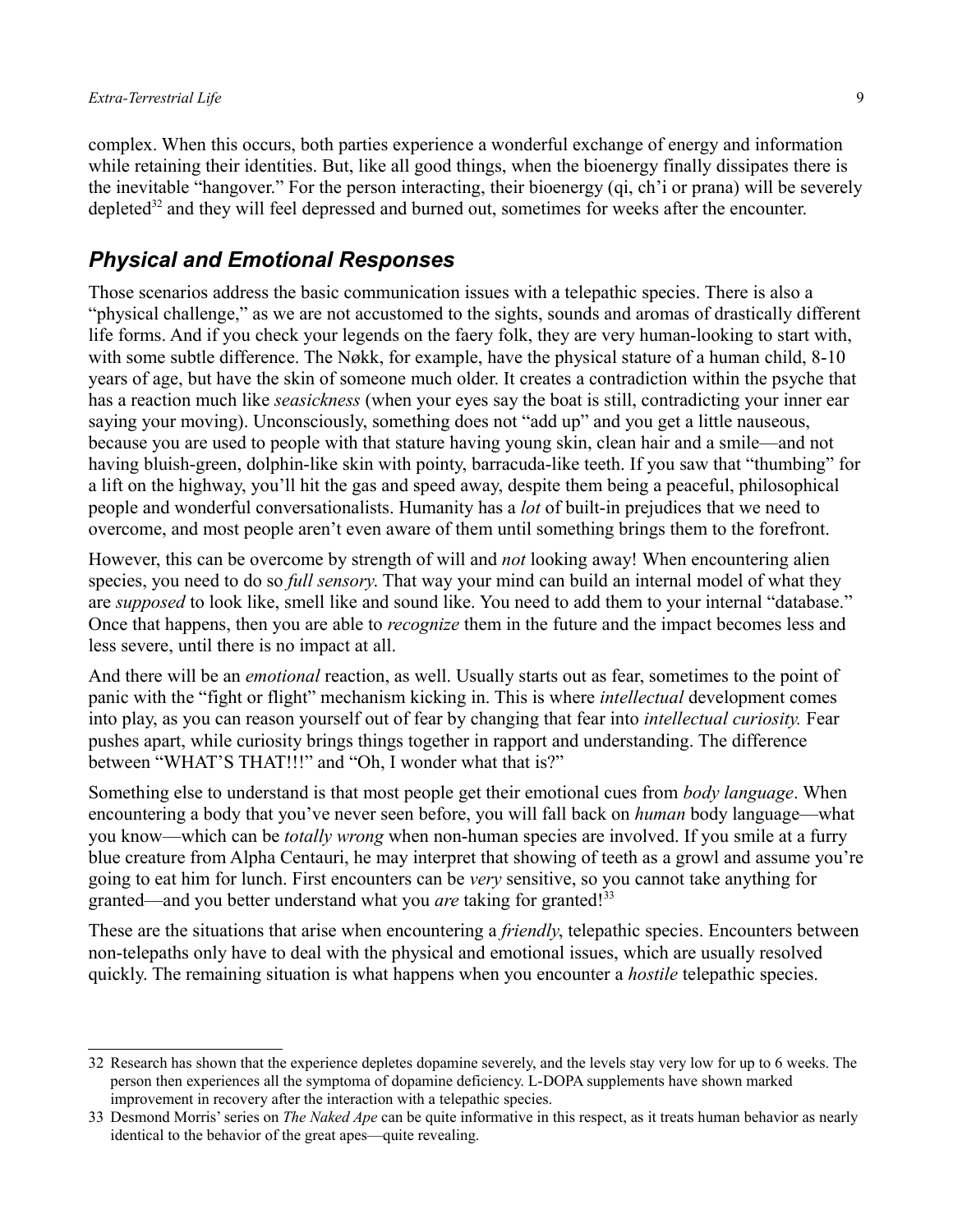complex. When this occurs, both parties experience a wonderful exchange of energy and information while retaining their identities. But, like all good things, when the bioenergy finally dissipates there is the inevitable "hangover." For the person interacting, their bioenergy (qi, ch'i or prana) will be severely depleted<sup>[32](#page-8-0)</sup> and they will feel depressed and burned out, sometimes for weeks after the encounter.

### *Physical and Emotional Responses*

Those scenarios address the basic communication issues with a telepathic species. There is also a "physical challenge," as we are not accustomed to the sights, sounds and aromas of drastically different life forms. And if you check your legends on the faery folk, they are very human-looking to start with, with some subtle difference. The Nøkk, for example, have the physical stature of a human child, 8-10 years of age, but have the skin of someone much older. It creates a contradiction within the psyche that has a reaction much like *seasickness* (when your eyes say the boat is still, contradicting your inner ear saying your moving). Unconsciously, something does not "add up" and you get a little nauseous, because you are used to people with that stature having young skin, clean hair and a smile—and not having bluish-green, dolphin-like skin with pointy, barracuda-like teeth. If you saw that "thumbing" for a lift on the highway, you'll hit the gas and speed away, despite them being a peaceful, philosophical people and wonderful conversationalists. Humanity has a *lot* of built-in prejudices that we need to overcome, and most people aren't even aware of them until something brings them to the forefront.

However, this can be overcome by strength of will and *not* looking away! When encountering alien species, you need to do so *full sensory*. That way your mind can build an internal model of what they are *supposed* to look like, smell like and sound like. You need to add them to your internal "database." Once that happens, then you are able to *recognize* them in the future and the impact becomes less and less severe, until there is no impact at all.

And there will be an *emotional* reaction, as well. Usually starts out as fear, sometimes to the point of panic with the "fight or flight" mechanism kicking in. This is where *intellectual* development comes into play, as you can reason yourself out of fear by changing that fear into *intellectual curiosity.* Fear pushes apart, while curiosity brings things together in rapport and understanding. The difference between "WHAT'S THAT!!!" and "Oh, I wonder what that is?"

Something else to understand is that most people get their emotional cues from *body language*. When encountering a body that you've never seen before, you will fall back on *human* body language—what you know—which can be *totally wrong* when non-human species are involved. If you smile at a furry blue creature from Alpha Centauri, he may interpret that showing of teeth as a growl and assume you're going to eat him for lunch. First encounters can be *very* sensitive, so you cannot take anything for granted—and you better understand what you *are* taking for granted!<sup>[33](#page-8-1)</sup>

These are the situations that arise when encountering a *friendly*, telepathic species. Encounters between non-telepaths only have to deal with the physical and emotional issues, which are usually resolved quickly. The remaining situation is what happens when you encounter a *hostile* telepathic species.

<span id="page-8-0"></span><sup>32</sup> Research has shown that the experience depletes dopamine severely, and the levels stay very low for up to 6 weeks. The person then experiences all the symptoma of dopamine deficiency. L-DOPA supplements have shown marked improvement in recovery after the interaction with a telepathic species.

<span id="page-8-1"></span><sup>33</sup> Desmond Morris' series on *The Naked Ape* can be quite informative in this respect, as it treats human behavior as nearly identical to the behavior of the great apes—quite revealing.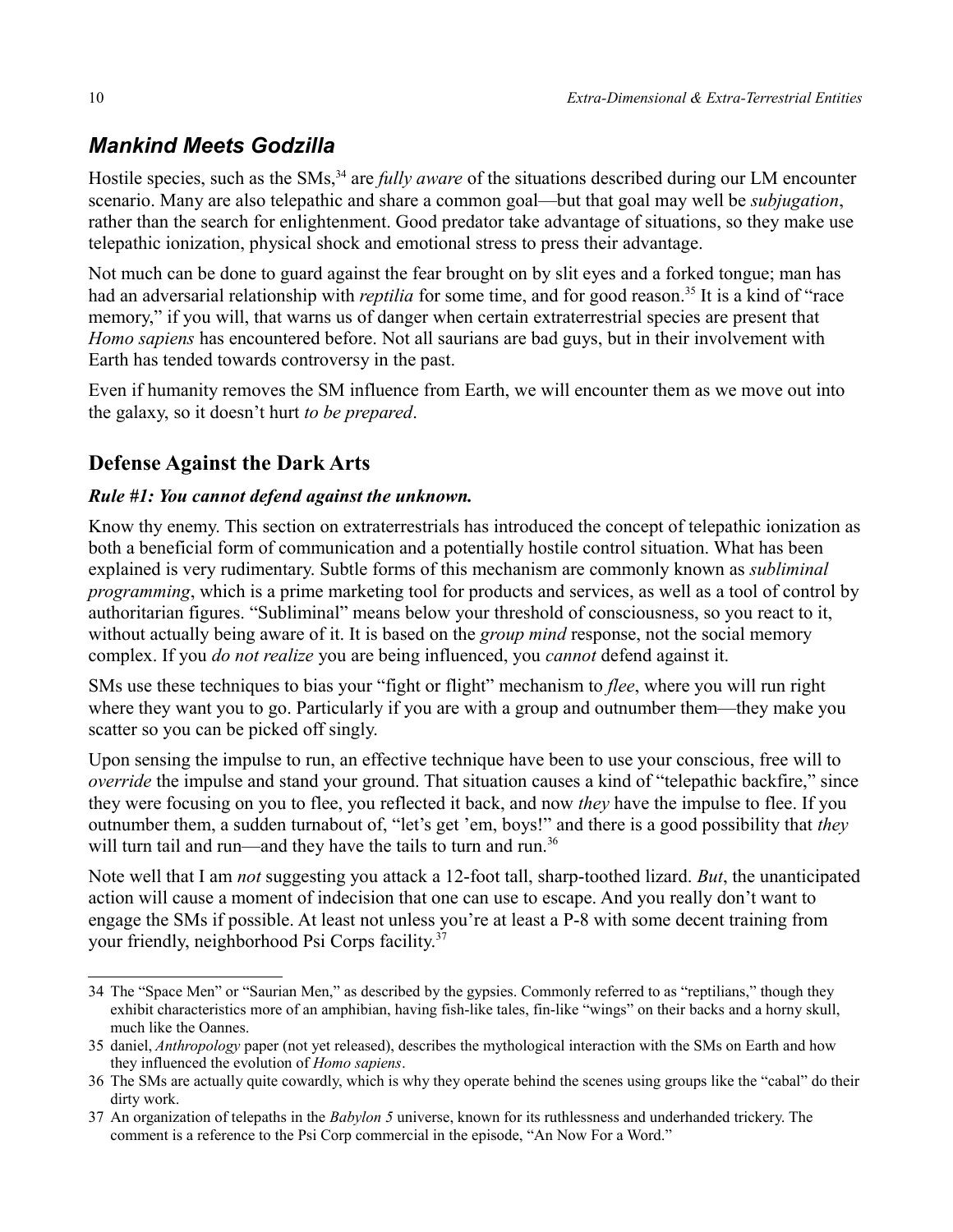## *Mankind Meets Godzilla*

Hostile species, such as the SMs,<sup>[34](#page-9-0)</sup> are *fully aware* of the situations described during our LM encounter scenario. Many are also telepathic and share a common goal—but that goal may well be *subjugation*, rather than the search for enlightenment. Good predator take advantage of situations, so they make use telepathic ionization, physical shock and emotional stress to press their advantage.

Not much can be done to guard against the fear brought on by slit eyes and a forked tongue; man has had an adversarial relationship with *reptilia* for some time, and for good reason.<sup>[35](#page-9-1)</sup> It is a kind of "race memory," if you will, that warns us of danger when certain extraterrestrial species are present that *Homo sapiens* has encountered before. Not all saurians are bad guys, but in their involvement with Earth has tended towards controversy in the past.

Even if humanity removes the SM influence from Earth, we will encounter them as we move out into the galaxy, so it doesn't hurt *to be prepared*.

### **Defense Against the Dark Arts**

#### *Rule #1: You cannot defend against the unknown.*

Know thy enemy. This section on extraterrestrials has introduced the concept of telepathic ionization as both a beneficial form of communication and a potentially hostile control situation. What has been explained is very rudimentary. Subtle forms of this mechanism are commonly known as *subliminal programming*, which is a prime marketing tool for products and services, as well as a tool of control by authoritarian figures. "Subliminal" means below your threshold of consciousness, so you react to it, without actually being aware of it. It is based on the *group mind* response, not the social memory complex. If you *do not realize* you are being influenced, you *cannot* defend against it.

SMs use these techniques to bias your "fight or flight" mechanism to *flee*, where you will run right where they want you to go. Particularly if you are with a group and outnumber them—they make you scatter so you can be picked off singly.

Upon sensing the impulse to run, an effective technique have been to use your conscious, free will to *override* the impulse and stand your ground. That situation causes a kind of "telepathic backfire," since they were focusing on you to flee, you reflected it back, and now *they* have the impulse to flee. If you outnumber them, a sudden turnabout of, "let's get 'em, boys!" and there is a good possibility that *they* will turn tail and run—and they have the tails to turn and run.<sup>[36](#page-9-2)</sup>

Note well that I am *not* suggesting you attack a 12-foot tall, sharp-toothed lizard. *But*, the unanticipated action will cause a moment of indecision that one can use to escape. And you really don't want to engage the SMs if possible. At least not unless you're at least a P-8 with some decent training from your friendly, neighborhood Psi Corps facility.[37](#page-9-3)

<span id="page-9-0"></span><sup>34</sup> The "Space Men" or "Saurian Men," as described by the gypsies. Commonly referred to as "reptilians," though they exhibit characteristics more of an amphibian, having fish-like tales, fin-like "wings" on their backs and a horny skull, much like the Oannes.

<span id="page-9-1"></span><sup>35</sup> daniel, *Anthropology* paper (not yet released), describes the mythological interaction with the SMs on Earth and how they influenced the evolution of *Homo sapiens*.

<span id="page-9-2"></span><sup>36</sup> The SMs are actually quite cowardly, which is why they operate behind the scenes using groups like the "cabal" do their dirty work.

<span id="page-9-3"></span><sup>37</sup> An organization of telepaths in the *Babylon 5* universe, known for its ruthlessness and underhanded trickery. The comment is a reference to the Psi Corp commercial in the episode, "An Now For a Word."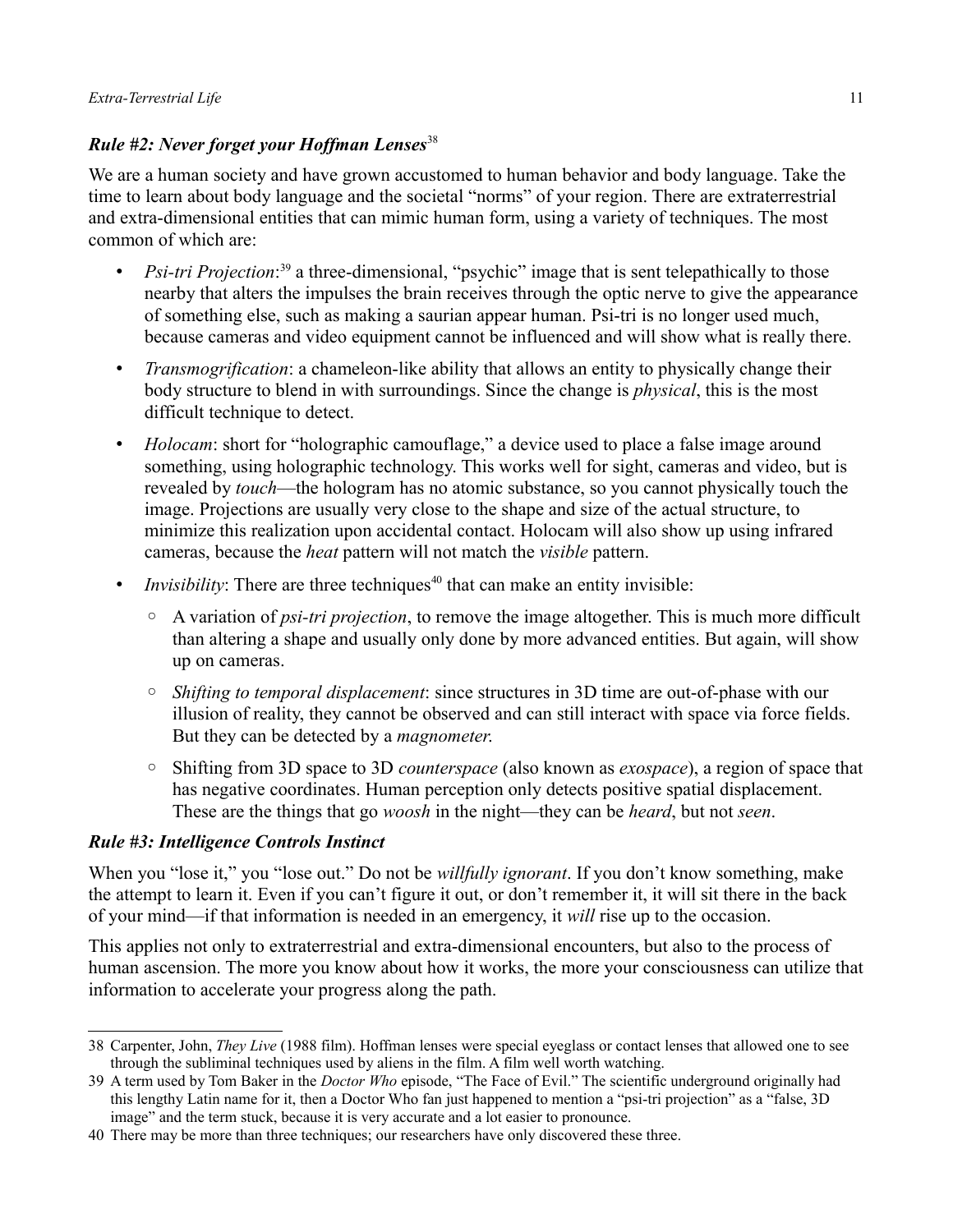#### *Rule #2: Never forget your Hoffman Lenses*[38](#page-10-0)

We are a human society and have grown accustomed to human behavior and body language. Take the time to learn about body language and the societal "norms" of your region. There are extraterrestrial and extra-dimensional entities that can mimic human form, using a variety of techniques. The most common of which are:

- *Psi-tri Projection*:<sup>[39](#page-10-1)</sup> a three-dimensional, "psychic" image that is sent telepathically to those nearby that alters the impulses the brain receives through the optic nerve to give the appearance of something else, such as making a saurian appear human. Psi-tri is no longer used much, because cameras and video equipment cannot be influenced and will show what is really there.
- *Transmogrification*: a chameleon-like ability that allows an entity to physically change their body structure to blend in with surroundings. Since the change is *physical*, this is the most difficult technique to detect.
- *Holocam*: short for "holographic camouflage," a device used to place a false image around something, using holographic technology. This works well for sight, cameras and video, but is revealed by *touch*—the hologram has no atomic substance, so you cannot physically touch the image. Projections are usually very close to the shape and size of the actual structure, to minimize this realization upon accidental contact. Holocam will also show up using infrared cameras, because the *heat* pattern will not match the *visible* pattern.
- *Invisibility*: There are three techniques<sup>[40](#page-10-2)</sup> that can make an entity invisible:
	- A variation of *psi-tri projection*, to remove the image altogether. This is much more difficult than altering a shape and usually only done by more advanced entities. But again, will show up on cameras.
	- *Shifting to temporal displacement*: since structures in 3D time are out-of-phase with our illusion of reality, they cannot be observed and can still interact with space via force fields. But they can be detected by a *magnometer*.
	- Shifting from 3D space to 3D *counterspace* (also known as *exospace*), a region of space that has negative coordinates. Human perception only detects positive spatial displacement. These are the things that go *woosh* in the night—they can be *heard*, but not *seen*.

#### *Rule #3: Intelligence Controls Instinct*

When you "lose it," you "lose out." Do not be *willfully ignorant*. If you don't know something, make the attempt to learn it. Even if you can't figure it out, or don't remember it, it will sit there in the back of your mind—if that information is needed in an emergency, it *will* rise up to the occasion.

This applies not only to extraterrestrial and extra-dimensional encounters, but also to the process of human ascension. The more you know about how it works, the more your consciousness can utilize that information to accelerate your progress along the path.

<span id="page-10-0"></span><sup>38</sup> Carpenter, John, *They Live* (1988 film). Hoffman lenses were special eyeglass or contact lenses that allowed one to see through the subliminal techniques used by aliens in the film. A film well worth watching.

<span id="page-10-1"></span><sup>39</sup> A term used by Tom Baker in the *Doctor Who* episode, "The Face of Evil." The scientific underground originally had this lengthy Latin name for it, then a Doctor Who fan just happened to mention a "psi-tri projection" as a "false, 3D image" and the term stuck, because it is very accurate and a lot easier to pronounce.

<span id="page-10-2"></span><sup>40</sup> There may be more than three techniques; our researchers have only discovered these three.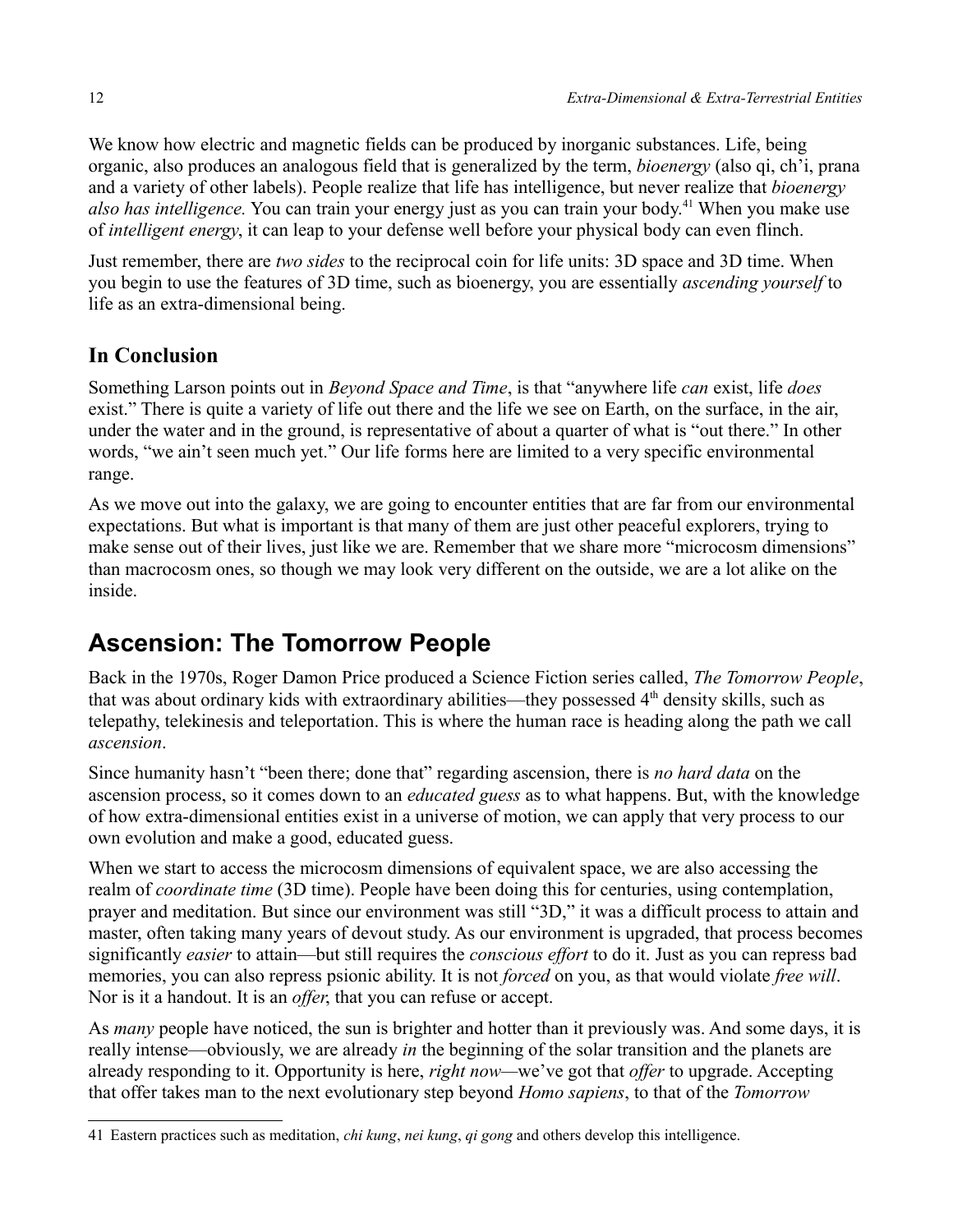We know how electric and magnetic fields can be produced by inorganic substances. Life, being organic, also produces an analogous field that is generalized by the term, *bioenergy* (also qi, ch'i, prana and a variety of other labels). People realize that life has intelligence, but never realize that *bioenergy also has intelligence.* You can train your energy just as you can train your body.[41](#page-11-0) When you make use of *intelligent energy*, it can leap to your defense well before your physical body can even flinch.

Just remember, there are *two sides* to the reciprocal coin for life units: 3D space and 3D time. When you begin to use the features of 3D time, such as bioenergy, you are essentially *ascending yourself* to life as an extra-dimensional being.

## **In Conclusion**

Something Larson points out in *Beyond Space and Time*, is that "anywhere life *can* exist, life *does* exist." There is quite a variety of life out there and the life we see on Earth, on the surface, in the air, under the water and in the ground, is representative of about a quarter of what is "out there." In other words, "we ain't seen much yet." Our life forms here are limited to a very specific environmental range.

As we move out into the galaxy, we are going to encounter entities that are far from our environmental expectations. But what is important is that many of them are just other peaceful explorers, trying to make sense out of their lives, just like we are. Remember that we share more "microcosm dimensions" than macrocosm ones, so though we may look very different on the outside, we are a lot alike on the inside.

# **Ascension: The Tomorrow People**

Back in the 1970s, Roger Damon Price produced a Science Fiction series called, *The Tomorrow People*, that was about ordinary kids with extraordinary abilities—they possessed 4<sup>th</sup> density skills, such as telepathy, telekinesis and teleportation. This is where the human race is heading along the path we call *ascension*.

Since humanity hasn't "been there; done that" regarding ascension, there is *no hard data* on the ascension process, so it comes down to an *educated guess* as to what happens. But, with the knowledge of how extra-dimensional entities exist in a universe of motion, we can apply that very process to our own evolution and make a good, educated guess.

When we start to access the microcosm dimensions of equivalent space, we are also accessing the realm of *coordinate time* (3D time). People have been doing this for centuries, using contemplation, prayer and meditation. But since our environment was still "3D," it was a difficult process to attain and master, often taking many years of devout study. As our environment is upgraded, that process becomes significantly *easier* to attain—but still requires the *conscious effort* to do it. Just as you can repress bad memories, you can also repress psionic ability. It is not *forced* on you, as that would violate *free will*. Nor is it a handout. It is an *offer*, that you can refuse or accept.

As *many* people have noticed, the sun is brighter and hotter than it previously was. And some days, it is really intense—obviously, we are already *in* the beginning of the solar transition and the planets are already responding to it. Opportunity is here, *right now—*we've got that *offer* to upgrade. Accepting that offer takes man to the next evolutionary step beyond *Homo sapiens*, to that of the *Tomorrow* 

<span id="page-11-0"></span><sup>41</sup> Eastern practices such as meditation, *chi kung*, *nei kung*, *qi gong* and others develop this intelligence.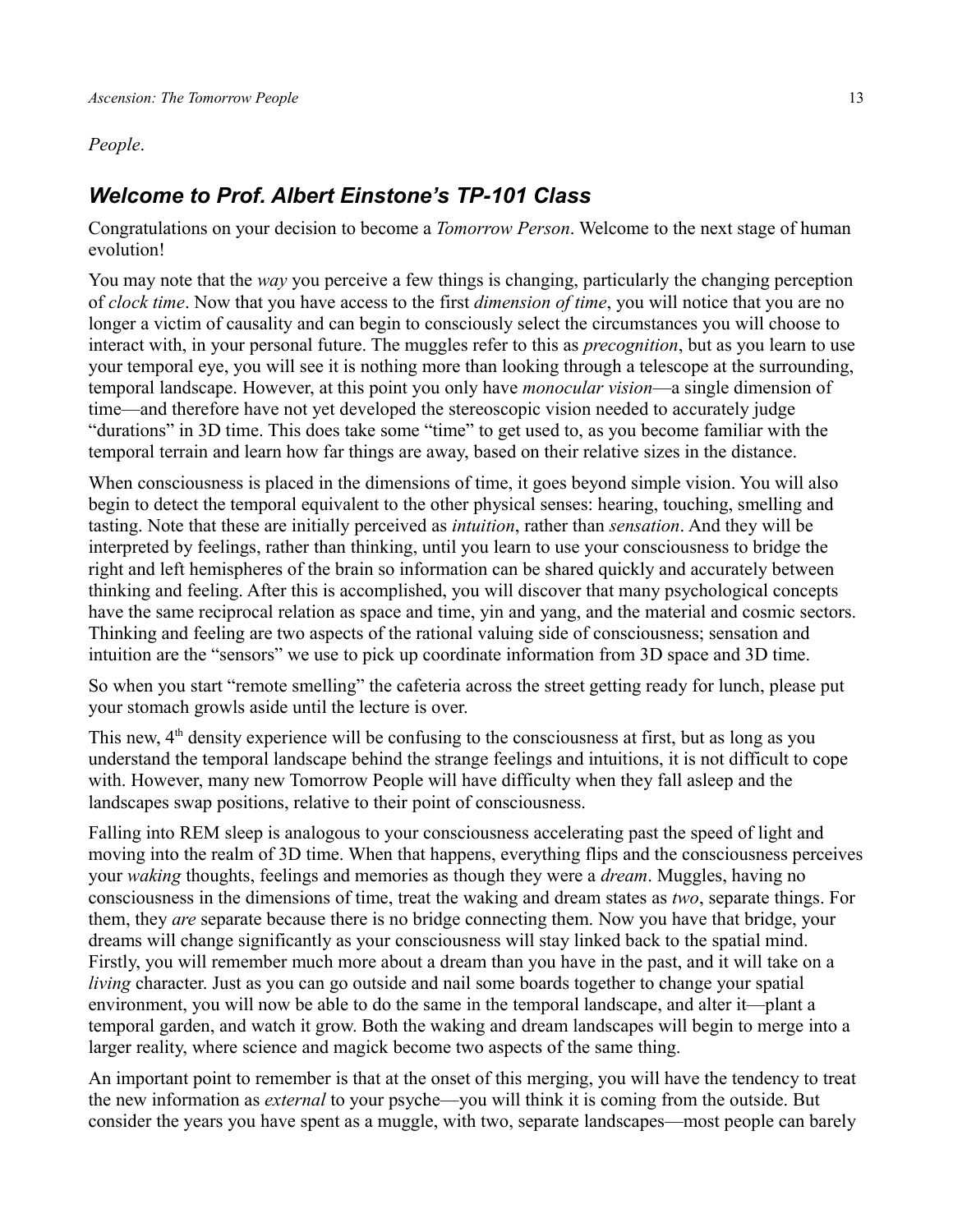#### *People*.

### *Welcome to Prof. Albert Einstone's TP-101 Class*

Congratulations on your decision to become a *Tomorrow Person*. Welcome to the next stage of human evolution!

You may note that the *way* you perceive a few things is changing, particularly the changing perception of *clock time*. Now that you have access to the first *dimension of time*, you will notice that you are no longer a victim of causality and can begin to consciously select the circumstances you will choose to interact with, in your personal future. The muggles refer to this as *precognition*, but as you learn to use your temporal eye, you will see it is nothing more than looking through a telescope at the surrounding, temporal landscape. However, at this point you only have *monocular vision*—a single dimension of time—and therefore have not yet developed the stereoscopic vision needed to accurately judge "durations" in 3D time. This does take some "time" to get used to, as you become familiar with the temporal terrain and learn how far things are away, based on their relative sizes in the distance.

When consciousness is placed in the dimensions of time, it goes beyond simple vision. You will also begin to detect the temporal equivalent to the other physical senses: hearing, touching, smelling and tasting. Note that these are initially perceived as *intuition*, rather than *sensation*. And they will be interpreted by feelings, rather than thinking, until you learn to use your consciousness to bridge the right and left hemispheres of the brain so information can be shared quickly and accurately between thinking and feeling. After this is accomplished, you will discover that many psychological concepts have the same reciprocal relation as space and time, yin and yang, and the material and cosmic sectors. Thinking and feeling are two aspects of the rational valuing side of consciousness; sensation and intuition are the "sensors" we use to pick up coordinate information from 3D space and 3D time.

So when you start "remote smelling" the cafeteria across the street getting ready for lunch, please put your stomach growls aside until the lecture is over.

This new, 4<sup>th</sup> density experience will be confusing to the consciousness at first, but as long as you understand the temporal landscape behind the strange feelings and intuitions, it is not difficult to cope with. However, many new Tomorrow People will have difficulty when they fall asleep and the landscapes swap positions, relative to their point of consciousness.

Falling into REM sleep is analogous to your consciousness accelerating past the speed of light and moving into the realm of 3D time. When that happens, everything flips and the consciousness perceives your *waking* thoughts, feelings and memories as though they were a *dream*. Muggles, having no consciousness in the dimensions of time, treat the waking and dream states as *two*, separate things. For them, they *are* separate because there is no bridge connecting them. Now you have that bridge, your dreams will change significantly as your consciousness will stay linked back to the spatial mind. Firstly, you will remember much more about a dream than you have in the past, and it will take on a *living* character. Just as you can go outside and nail some boards together to change your spatial environment, you will now be able to do the same in the temporal landscape, and alter it—plant a temporal garden, and watch it grow. Both the waking and dream landscapes will begin to merge into a larger reality, where science and magick become two aspects of the same thing.

An important point to remember is that at the onset of this merging, you will have the tendency to treat the new information as *external* to your psyche—you will think it is coming from the outside. But consider the years you have spent as a muggle, with two, separate landscapes—most people can barely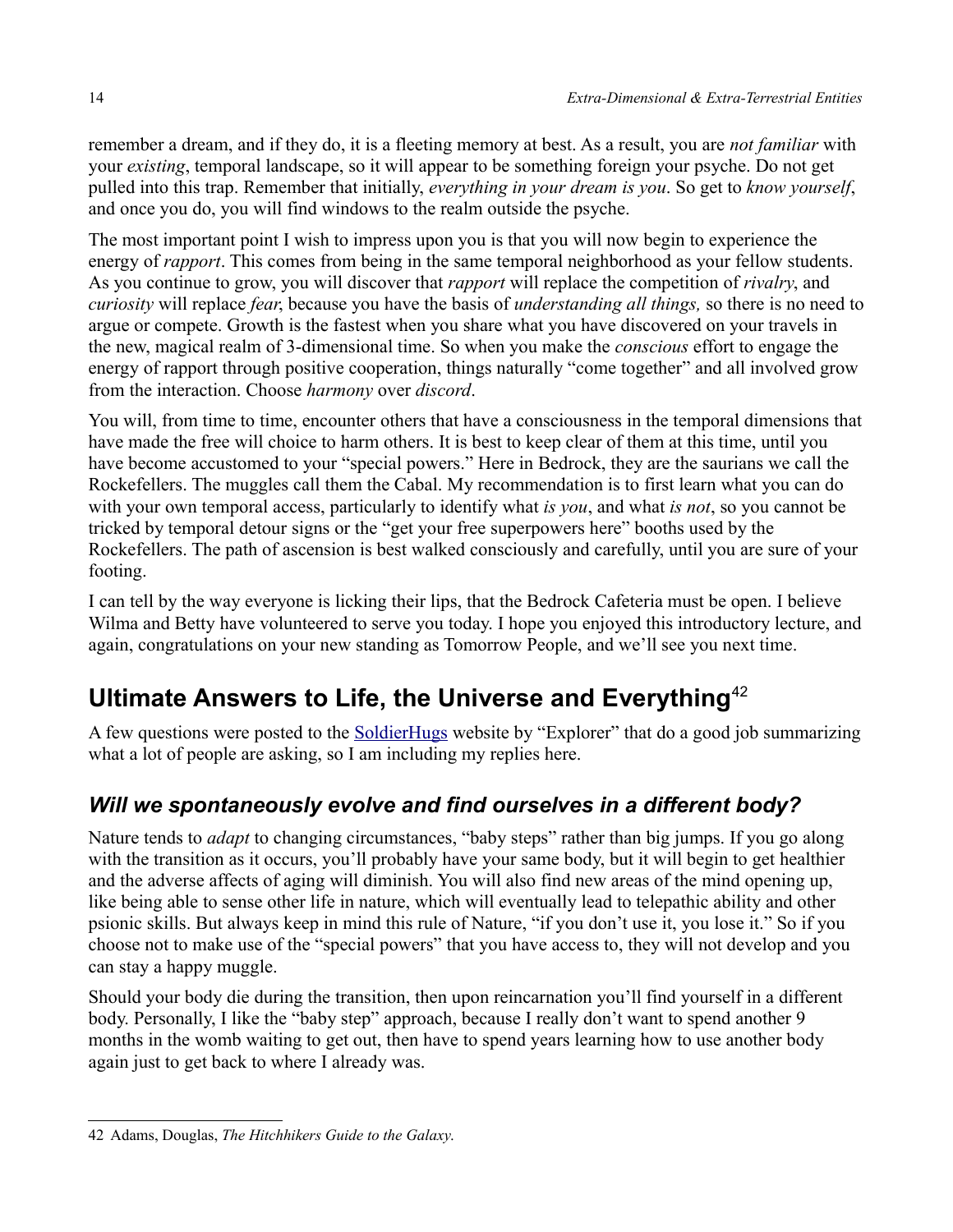remember a dream, and if they do, it is a fleeting memory at best. As a result, you are *not familiar* with your *existing*, temporal landscape, so it will appear to be something foreign your psyche. Do not get pulled into this trap. Remember that initially, *everything in your dream is you*. So get to *know yourself*, and once you do, you will find windows to the realm outside the psyche.

The most important point I wish to impress upon you is that you will now begin to experience the energy of *rapport*. This comes from being in the same temporal neighborhood as your fellow students. As you continue to grow, you will discover that *rapport* will replace the competition of *rivalry*, and *curiosity* will replace *fear*, because you have the basis of *understanding all things,* so there is no need to argue or compete. Growth is the fastest when you share what you have discovered on your travels in the new, magical realm of 3-dimensional time. So when you make the *conscious* effort to engage the energy of rapport through positive cooperation, things naturally "come together" and all involved grow from the interaction. Choose *harmony* over *discord*.

You will, from time to time, encounter others that have a consciousness in the temporal dimensions that have made the free will choice to harm others. It is best to keep clear of them at this time, until you have become accustomed to your "special powers." Here in Bedrock, they are the saurians we call the Rockefellers. The muggles call them the Cabal. My recommendation is to first learn what you can do with your own temporal access, particularly to identify what *is you*, and what *is not*, so you cannot be tricked by temporal detour signs or the "get your free superpowers here" booths used by the Rockefellers. The path of ascension is best walked consciously and carefully, until you are sure of your footing.

I can tell by the way everyone is licking their lips, that the Bedrock Cafeteria must be open. I believe Wilma and Betty have volunteered to serve you today. I hope you enjoyed this introductory lecture, and again, congratulations on your new standing as Tomorrow People, and we'll see you next time.

# **Ultimate Answers to Life, the Universe and Everything**[42](#page-13-0)

A few questions were posted to the Soldier Hugs website by "Explorer" that do a good job summarizing what a lot of people are asking, so I am including my replies here.

## *Will we spontaneously evolve and find ourselves in a different body?*

Nature tends to *adapt* to changing circumstances, "baby steps" rather than big jumps. If you go along with the transition as it occurs, you'll probably have your same body, but it will begin to get healthier and the adverse affects of aging will diminish. You will also find new areas of the mind opening up, like being able to sense other life in nature, which will eventually lead to telepathic ability and other psionic skills. But always keep in mind this rule of Nature, "if you don't use it, you lose it." So if you choose not to make use of the "special powers" that you have access to, they will not develop and you can stay a happy muggle.

Should your body die during the transition, then upon reincarnation you'll find yourself in a different body. Personally, I like the "baby step" approach, because I really don't want to spend another 9 months in the womb waiting to get out, then have to spend years learning how to use another body again just to get back to where I already was.

<span id="page-13-0"></span><sup>42</sup> Adams, Douglas, *The Hitchhikers Guide to the Galaxy*.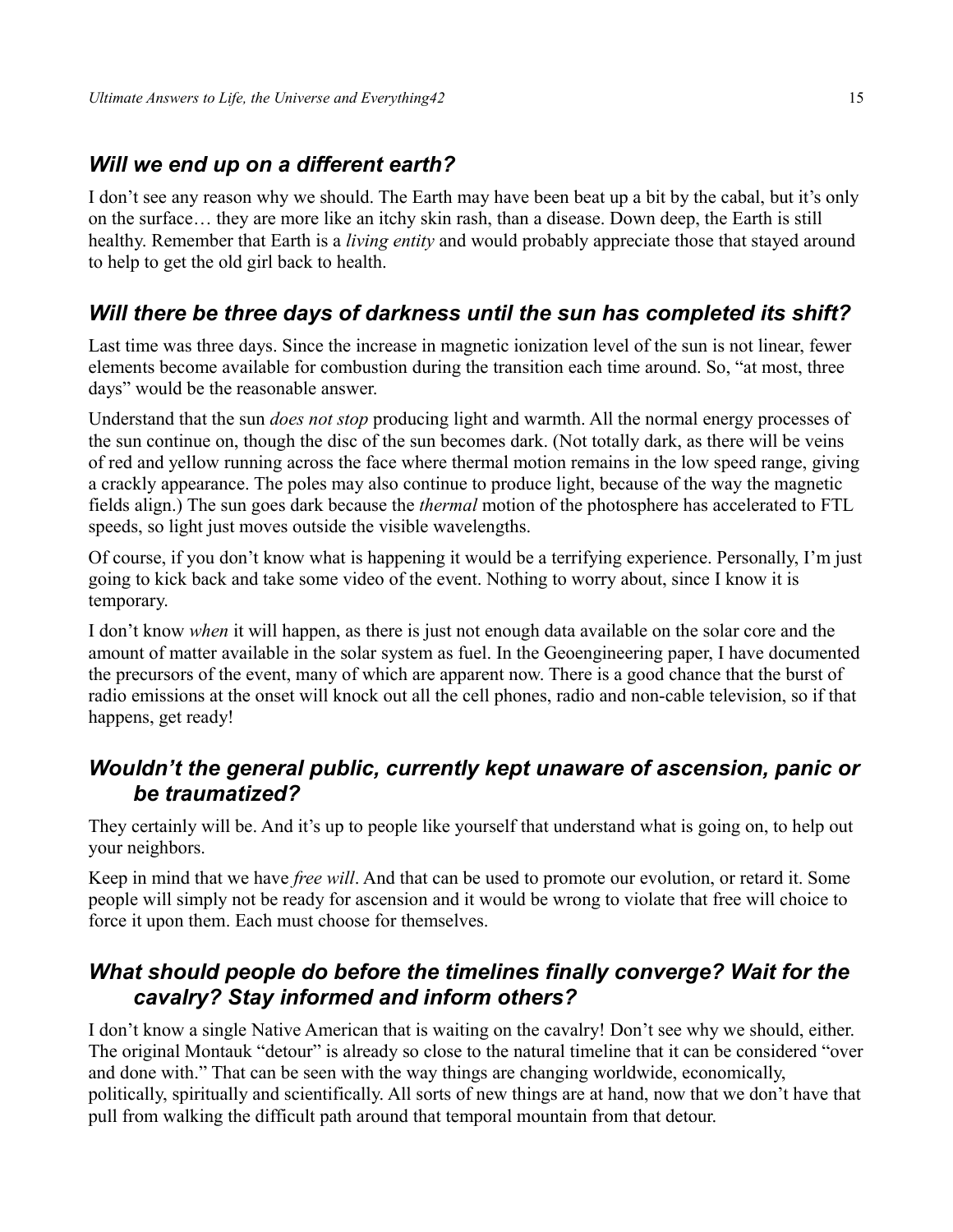### *Will we end up on a different earth?*

I don't see any reason why we should. The Earth may have been beat up a bit by the cabal, but it's only on the surface… they are more like an itchy skin rash, than a disease. Down deep, the Earth is still healthy. Remember that Earth is a *living entity* and would probably appreciate those that stayed around to help to get the old girl back to health.

### *Will there be three days of darkness until the sun has completed its shift?*

Last time was three days. Since the increase in magnetic ionization level of the sun is not linear, fewer elements become available for combustion during the transition each time around. So, "at most, three days" would be the reasonable answer.

Understand that the sun *does not stop* producing light and warmth. All the normal energy processes of the sun continue on, though the disc of the sun becomes dark. (Not totally dark, as there will be veins of red and yellow running across the face where thermal motion remains in the low speed range, giving a crackly appearance. The poles may also continue to produce light, because of the way the magnetic fields align.) The sun goes dark because the *thermal* motion of the photosphere has accelerated to FTL speeds, so light just moves outside the visible wavelengths.

Of course, if you don't know what is happening it would be a terrifying experience. Personally, I'm just going to kick back and take some video of the event. Nothing to worry about, since I know it is temporary.

I don't know *when* it will happen, as there is just not enough data available on the solar core and the amount of matter available in the solar system as fuel. In the Geoengineering paper, I have documented the precursors of the event, many of which are apparent now. There is a good chance that the burst of radio emissions at the onset will knock out all the cell phones, radio and non-cable television, so if that happens, get ready!

### *Wouldn't the general public, currently kept unaware of ascension, panic or be traumatized?*

They certainly will be. And it's up to people like yourself that understand what is going on, to help out your neighbors.

Keep in mind that we have *free will*. And that can be used to promote our evolution, or retard it. Some people will simply not be ready for ascension and it would be wrong to violate that free will choice to force it upon them. Each must choose for themselves.

#### *What should people do before the timelines finally converge? Wait for the cavalry? Stay informed and inform others?*

I don't know a single Native American that is waiting on the cavalry! Don't see why we should, either. The original Montauk "detour" is already so close to the natural timeline that it can be considered "over and done with." That can be seen with the way things are changing worldwide, economically, politically, spiritually and scientifically. All sorts of new things are at hand, now that we don't have that pull from walking the difficult path around that temporal mountain from that detour.